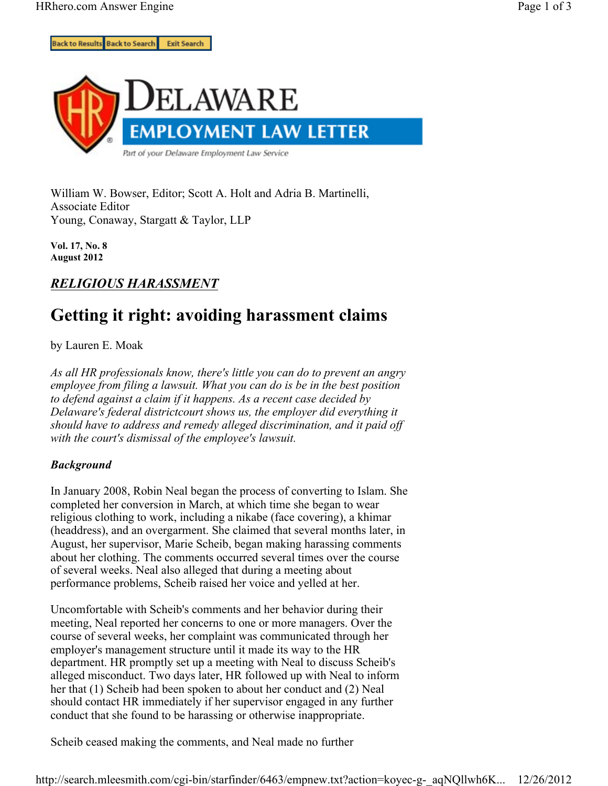

William W. Bowser, Editor; Scott A. Holt and Adria B. Martinelli, Associate Editor Young, Conaway, Stargatt & Taylor, LLP

**Vol. 17, No. 8 August 2012**

## *RELIGIOUS HARASSMENT*

# **Getting it right: avoiding harassment claims**

by Lauren E. Moak

*As all HR professionals know, there's little you can do to prevent an angry employee from filing a lawsuit. What you can do is be in the best position to defend against a claim if it happens. As a recent case decided by Delaware's federal districtcourt shows us, the employer did everything it should have to address and remedy alleged discrimination, and it paid off with the court's dismissal of the employee's lawsuit.*

### *Background*

In January 2008, Robin Neal began the process of converting to Islam. She completed her conversion in March, at which time she began to wear religious clothing to work, including a nikabe (face covering), a khimar (headdress), and an overgarment. She claimed that several months later, in August, her supervisor, Marie Scheib, began making harassing comments about her clothing. The comments occurred several times over the course of several weeks. Neal also alleged that during a meeting about performance problems, Scheib raised her voice and yelled at her.

Uncomfortable with Scheib's comments and her behavior during their meeting, Neal reported her concerns to one or more managers. Over the course of several weeks, her complaint was communicated through her employer's management structure until it made its way to the HR department. HR promptly set up a meeting with Neal to discuss Scheib's alleged misconduct. Two days later, HR followed up with Neal to inform her that (1) Scheib had been spoken to about her conduct and (2) Neal should contact HR immediately if her supervisor engaged in any further conduct that she found to be harassing or otherwise inappropriate.

Scheib ceased making the comments, and Neal made no further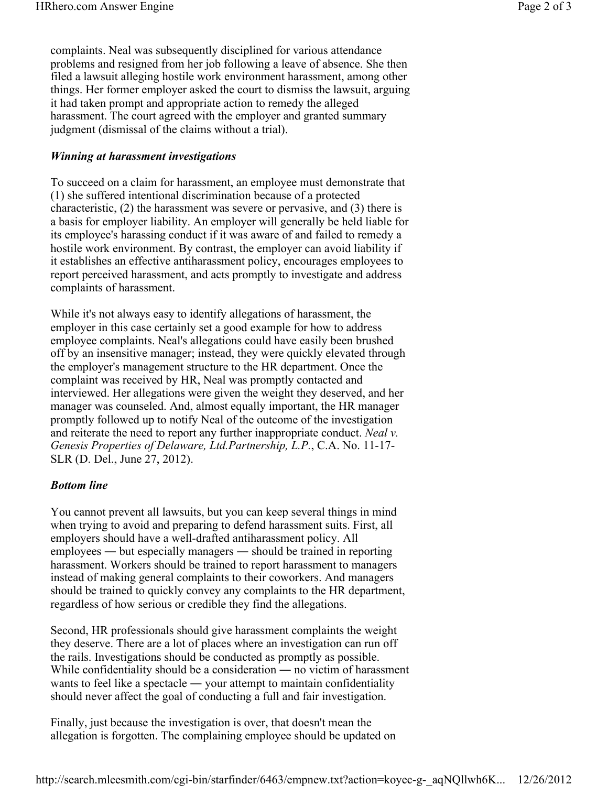complaints. Neal was subsequently disciplined for various attendance problems and resigned from her job following a leave of absence. She then filed a lawsuit alleging hostile work environment harassment, among other things. Her former employer asked the court to dismiss the lawsuit, arguing it had taken prompt and appropriate action to remedy the alleged harassment. The court agreed with the employer and granted summary judgment (dismissal of the claims without a trial).

#### *Winning at harassment investigations*

To succeed on a claim for harassment, an employee must demonstrate that (1) she suffered intentional discrimination because of a protected characteristic, (2) the harassment was severe or pervasive, and (3) there is a basis for employer liability. An employer will generally be held liable for its employee's harassing conduct if it was aware of and failed to remedy a hostile work environment. By contrast, the employer can avoid liability if it establishes an effective antiharassment policy, encourages employees to report perceived harassment, and acts promptly to investigate and address complaints of harassment.

While it's not always easy to identify allegations of harassment, the employer in this case certainly set a good example for how to address employee complaints. Neal's allegations could have easily been brushed off by an insensitive manager; instead, they were quickly elevated through the employer's management structure to the HR department. Once the complaint was received by HR, Neal was promptly contacted and interviewed. Her allegations were given the weight they deserved, and her manager was counseled. And, almost equally important, the HR manager promptly followed up to notify Neal of the outcome of the investigation and reiterate the need to report any further inappropriate conduct. *Neal v. Genesis Properties of Delaware, Ltd.Partnership, L.P.*, C.A. No. 11-17- SLR (D. Del., June 27, 2012).

### *Bottom line*

You cannot prevent all lawsuits, but you can keep several things in mind when trying to avoid and preparing to defend harassment suits. First, all employers should have a well-drafted antiharassment policy. All employees ― but especially managers ― should be trained in reporting harassment. Workers should be trained to report harassment to managers instead of making general complaints to their coworkers. And managers should be trained to quickly convey any complaints to the HR department, regardless of how serious or credible they find the allegations.

Second, HR professionals should give harassment complaints the weight they deserve. There are a lot of places where an investigation can run off the rails. Investigations should be conducted as promptly as possible. While confidentiality should be a consideration — no victim of harassment wants to feel like a spectacle — your attempt to maintain confidentiality should never affect the goal of conducting a full and fair investigation.

Finally, just because the investigation is over, that doesn't mean the allegation is forgotten. The complaining employee should be updated on